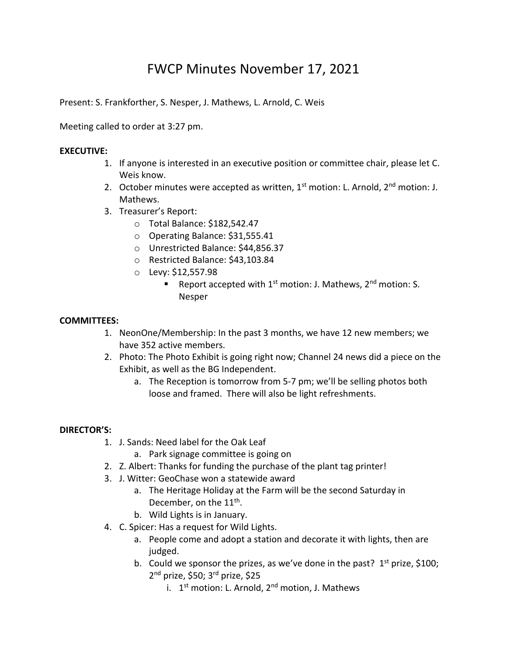# FWCP Minutes November 17, 2021

Present: S. Frankforther, S. Nesper, J. Mathews, L. Arnold, C. Weis

Meeting called to order at 3:27 pm.

## **EXECUTIVE:**

- 1. If anyone is interested in an executive position or committee chair, please let C. Weis know.
- 2. October minutes were accepted as written,  $1<sup>st</sup>$  motion: L. Arnold,  $2<sup>nd</sup>$  motion: J. Mathews.
- 3. Treasurer's Report:
	- o Total Balance: \$182,542.47
	- o Operating Balance: \$31,555.41
	- o Unrestricted Balance: \$44,856.37
	- o Restricted Balance: \$43,103.84
	- o Levy: \$12,557.98
		- Report accepted with  $1<sup>st</sup>$  motion: J. Mathews,  $2<sup>nd</sup>$  motion: S. Nesper

#### **COMMITTEES:**

- 1. NeonOne/Membership: In the past 3 months, we have 12 new members; we have 352 active members.
- 2. Photo: The Photo Exhibit is going right now; Channel 24 news did a piece on the Exhibit, as well as the BG Independent.
	- a. The Reception is tomorrow from 5-7 pm; we'll be selling photos both loose and framed. There will also be light refreshments.

#### **DIRECTOR'S:**

- 1. J. Sands: Need label for the Oak Leaf
	- a. Park signage committee is going on
- 2. Z. Albert: Thanks for funding the purchase of the plant tag printer!
- 3. J. Witter: GeoChase won a statewide award
	- a. The Heritage Holiday at the Farm will be the second Saturday in December, on the 11<sup>th</sup>.
	- b. Wild Lights is in January.
- 4. C. Spicer: Has a request for Wild Lights.
	- a. People come and adopt a station and decorate it with lights, then are judged.
	- b. Could we sponsor the prizes, as we've done in the past?  $1<sup>st</sup>$  prize, \$100; 2<sup>nd</sup> prize, \$50; 3<sup>rd</sup> prize, \$25
		- i. 1<sup>st</sup> motion: L. Arnold, 2<sup>nd</sup> motion, J. Mathews